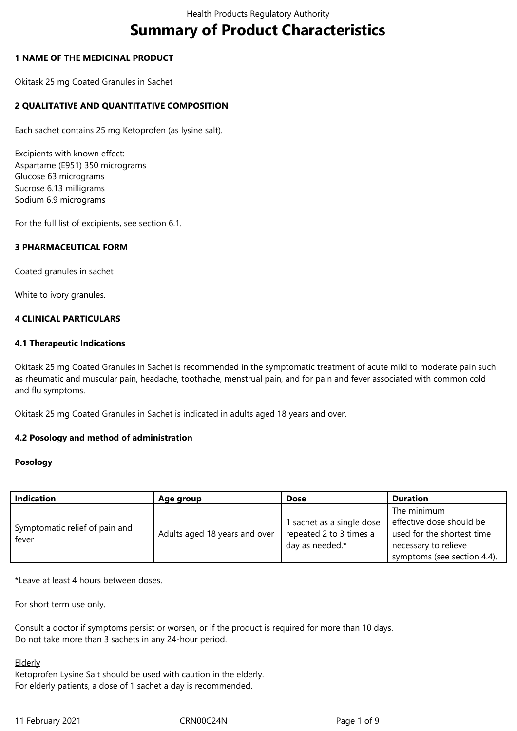# **Summary of Product Characteristics**

# **1 NAME OF THE MEDICINAL PRODUCT**

Okitask 25 mg Coated Granules in Sachet

# **2 QUALITATIVE AND QUANTITATIVE COMPOSITION**

Each sachet contains 25 mg Ketoprofen (as lysine salt).

Excipients with known effect: Aspartame (E951) 350 micrograms Glucose 63 micrograms Sucrose 6.13 milligrams Sodium 6.9 micrograms

For the full list of excipients, see section 6.1.

## **3 PHARMACEUTICAL FORM**

Coated granules in sachet

White to ivory granules.

## **4 CLINICAL PARTICULARS**

#### **4.1 Therapeutic Indications**

Okitask 25 mg Coated Granules in Sachet is recommended in the symptomatic treatment of acute mild to moderate pain such as rheumatic and muscular pain, headache, toothache, menstrual pain, and for pain and fever associated with common cold and flu symptoms.

Okitask 25 mg Coated Granules in Sachet is indicated in adults aged 18 years and over.

## **4.2 Posology and method of administration**

#### **Posology**

| <b>Indication</b>                       | Age group                     | <b>Dose</b>                                                             | <b>Duration</b>                                                                                                              |
|-----------------------------------------|-------------------------------|-------------------------------------------------------------------------|------------------------------------------------------------------------------------------------------------------------------|
| Symptomatic relief of pain and<br>fever | Adults aged 18 years and over | 1 sachet as a single dose<br>repeated 2 to 3 times a<br>day as needed.* | The minimum<br>effective dose should be<br>used for the shortest time<br>necessary to relieve<br>symptoms (see section 4.4). |

\*Leave at least 4 hours between doses.

For short term use only.

Consult a doctor if symptoms persist or worsen, or if the product is required for more than 10 days. Do not take more than 3 sachets in any 24-hour period.

**Elderly** 

Ketoprofen Lysine Salt should be used with caution in the elderly. For elderly patients, a dose of 1 sachet a day is recommended.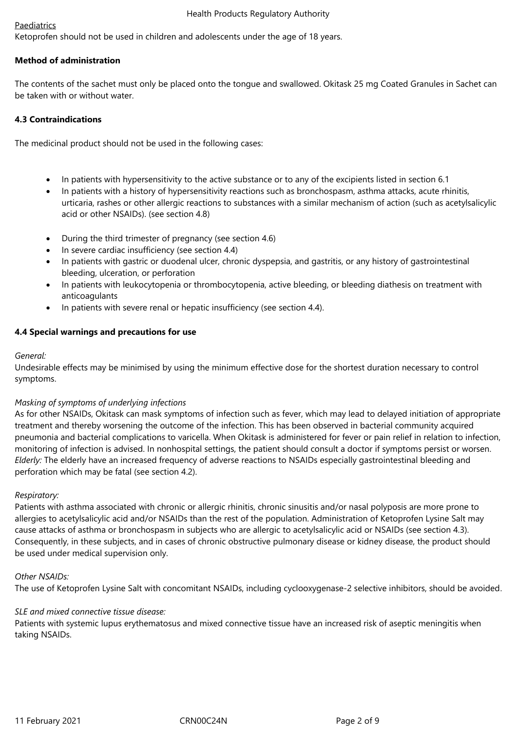## Paediatrics

Ketoprofen should not be used in children and adolescents under the age of 18 years.

# **Method of administration**

The contents of the sachet must only be placed onto the tongue and swallowed. Okitask 25 mg Coated Granules in Sachet can be taken with or without water.

# **4.3 Contraindications**

The medicinal product should not be used in the following cases:

- In patients with hypersensitivity to the active substance or to any of the excipients listed in section 6.1
- In patients with a history of hypersensitivity reactions such as bronchospasm, asthma attacks, acute rhinitis, urticaria, rashes or other allergic reactions to substances with a similar mechanism of action (such as acetylsalicylic acid or other NSAIDs). (see section 4.8)
- During the third trimester of pregnancy (see section 4.6)
- In severe cardiac insufficiency (see section 4.4)
- In patients with gastric or duodenal ulcer, chronic dyspepsia, and gastritis, or any history of gastrointestinal bleeding, ulceration, or perforation
- In patients with leukocytopenia or thrombocytopenia, active bleeding, or bleeding diathesis on treatment with anticoagulants
- In patients with severe renal or hepatic insufficiency (see section 4.4).

# **4.4 Special warnings and precautions for use**

# *General:*

Undesirable effects may be minimised by using the minimum effective dose for the shortest duration necessary to control symptoms.

## *Masking of symptoms of underlying infections*

As for other NSAIDs, Okitask can mask symptoms of infection such as fever, which may lead to delayed initiation of appropriate treatment and thereby worsening the outcome of the infection. This has been observed in bacterial community acquired pneumonia and bacterial complications to varicella. When Okitask is administered for fever or pain relief in relation to infection, monitoring of infection is advised. In nonhospital settings, the patient should consult a doctor if symptoms persist or worsen. *Elderly:* The elderly have an increased frequency of adverse reactions to NSAIDs especially gastrointestinal bleeding and perforation which may be fatal (see section 4.2).

## *Respiratory:*

Patients with asthma associated with chronic or allergic rhinitis, chronic sinusitis and/or nasal polyposis are more prone to allergies to acetylsalicylic acid and/or NSAIDs than the rest of the population. Administration of Ketoprofen Lysine Salt may cause attacks of asthma or bronchospasm in subjects who are allergic to acetylsalicylic acid or NSAIDs (see section 4.3). Consequently, in these subjects, and in cases of chronic obstructive pulmonary disease or kidney disease, the product should be used under medical supervision only.

## *Other NSAIDs:*

The use of Ketoprofen Lysine Salt with concomitant NSAIDs, including cyclooxygenase-2 selective inhibitors, should be avoided*.*

## *SLE and mixed connective tissue disease:*

Patients with systemic lupus erythematosus and mixed connective tissue have an increased risk of aseptic meningitis when taking NSAIDs.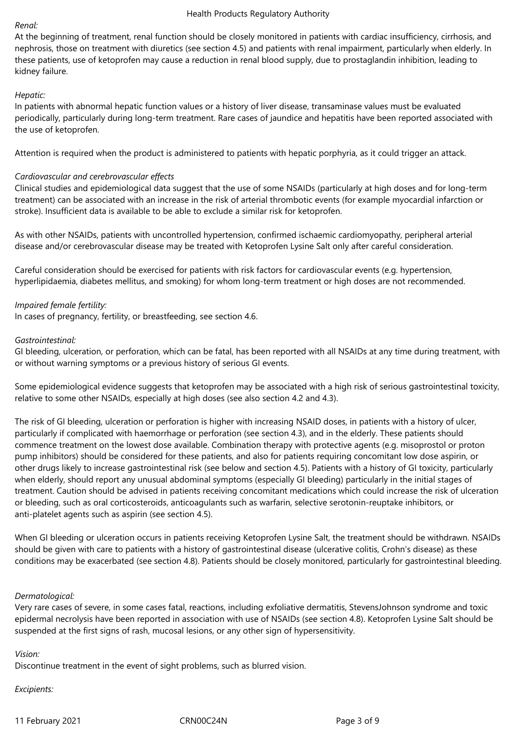# *Renal:*

At the beginning of treatment, renal function should be closely monitored in patients with cardiac insufficiency, cirrhosis, and nephrosis, those on treatment with diuretics (see section 4.5) and patients with renal impairment, particularly when elderly. In these patients, use of ketoprofen may cause a reduction in renal blood supply, due to prostaglandin inhibition, leading to kidney failure.

# *Hepatic:*

In patients with abnormal hepatic function values or a history of liver disease, transaminase values must be evaluated periodically, particularly during long-term treatment. Rare cases of jaundice and hepatitis have been reported associated with the use of ketoprofen.

Attention is required when the product is administered to patients with hepatic porphyria, as it could trigger an attack.

# *Cardiovascular and cerebrovascular effects*

Clinical studies and epidemiological data suggest that the use of some NSAIDs (particularly at high doses and for long-term treatment) can be associated with an increase in the risk of arterial thrombotic events (for example myocardial infarction or stroke). Insufficient data is available to be able to exclude a similar risk for ketoprofen.

As with other NSAIDs, patients with uncontrolled hypertension, confirmed ischaemic cardiomyopathy, peripheral arterial disease and/or cerebrovascular disease may be treated with Ketoprofen Lysine Salt only after careful consideration.

Careful consideration should be exercised for patients with risk factors for cardiovascular events (e.g. hypertension, hyperlipidaemia, diabetes mellitus, and smoking) for whom long-term treatment or high doses are not recommended.

# *Impaired female fertility:*

In cases of pregnancy, fertility, or breastfeeding, see section 4.6.

## *Gastrointestinal:*

GI bleeding, ulceration, or perforation, which can be fatal, has been reported with all NSAIDs at any time during treatment, with or without warning symptoms or a previous history of serious GI events.

Some epidemiological evidence suggests that ketoprofen may be associated with a high risk of serious gastrointestinal toxicity, relative to some other NSAIDs, especially at high doses (see also section 4.2 and 4.3).

The risk of GI bleeding, ulceration or perforation is higher with increasing NSAID doses, in patients with a history of ulcer, particularly if complicated with haemorrhage or perforation (see section 4.3), and in the elderly. These patients should commence treatment on the lowest dose available. Combination therapy with protective agents (e.g. misoprostol or proton pump inhibitors) should be considered for these patients, and also for patients requiring concomitant low dose aspirin, or other drugs likely to increase gastrointestinal risk (see below and section 4.5). Patients with a history of GI toxicity, particularly when elderly, should report any unusual abdominal symptoms (especially GI bleeding) particularly in the initial stages of treatment. Caution should be advised in patients receiving concomitant medications which could increase the risk of ulceration or bleeding, such as oral corticosteroids, anticoagulants such as warfarin, selective serotonin-reuptake inhibitors, or anti-platelet agents such as aspirin (see section 4.5).

When GI bleeding or ulceration occurs in patients receiving Ketoprofen Lysine Salt, the treatment should be withdrawn. NSAIDs should be given with care to patients with a history of gastrointestinal disease (ulcerative colitis, Crohn's disease) as these conditions may be exacerbated (see section 4.8). Patients should be closely monitored, particularly for gastrointestinal bleeding.

## *Dermatological:*

Very rare cases of severe, in some cases fatal, reactions, including exfoliative dermatitis, StevensJohnson syndrome and toxic epidermal necrolysis have been reported in association with use of NSAIDs (see section 4.8). Ketoprofen Lysine Salt should be suspended at the first signs of rash, mucosal lesions, or any other sign of hypersensitivity.

## *Vision:*

Discontinue treatment in the event of sight problems, such as blurred vision.

## *Excipients:*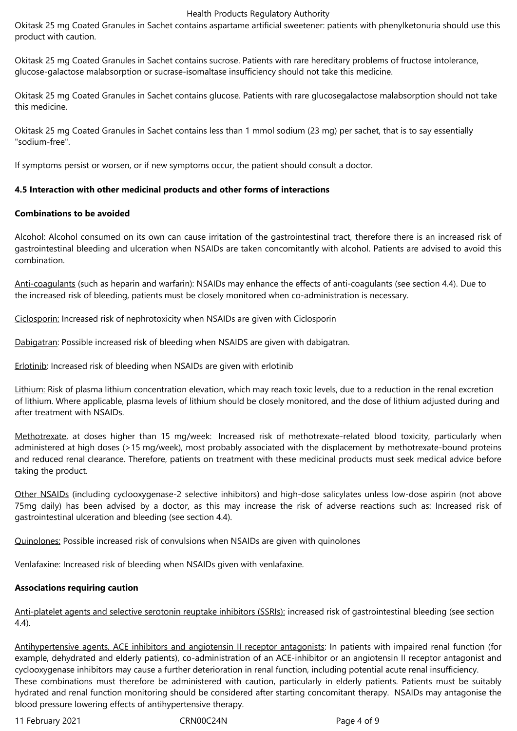Okitask 25 mg Coated Granules in Sachet contains aspartame artificial sweetener: patients with phenylketonuria should use this product with caution.

Okitask 25 mg Coated Granules in Sachet contains sucrose. Patients with rare hereditary problems of fructose intolerance, glucose-galactose malabsorption or sucrase-isomaltase insufficiency should not take this medicine.

Okitask 25 mg Coated Granules in Sachet contains glucose. Patients with rare glucosegalactose malabsorption should not take this medicine.

Okitask 25 mg Coated Granules in Sachet contains less than 1 mmol sodium (23 mg) per sachet, that is to say essentially "sodium-free".

If symptoms persist or worsen, or if new symptoms occur, the patient should consult a doctor.

# **4.5 Interaction with other medicinal products and other forms of interactions**

# **Combinations to be avoided**

Alcohol: Alcohol consumed on its own can cause irritation of the gastrointestinal tract, therefore there is an increased risk of gastrointestinal bleeding and ulceration when NSAIDs are taken concomitantly with alcohol. Patients are advised to avoid this combination.

Anti-coagulants (such as heparin and warfarin): NSAIDs may enhance the effects of anti-coagulants (see section 4.4). Due to the increased risk of bleeding, patients must be closely monitored when co-administration is necessary.

Ciclosporin: Increased risk of nephrotoxicity when NSAIDs are given with Ciclosporin

Dabigatran: Possible increased risk of bleeding when NSAIDS are given with dabigatran.

Erlotinib: Increased risk of bleeding when NSAIDs are given with erlotinib

Lithium: Risk of plasma lithium concentration elevation, which may reach toxic levels, due to a reduction in the renal excretion of lithium. Where applicable, plasma levels of lithium should be closely monitored, and the dose of lithium adjusted during and after treatment with NSAIDs.

Methotrexate, at doses higher than 15 mg/week: Increased risk of methotrexate-related blood toxicity, particularly when administered at high doses (>15 mg/week), most probably associated with the displacement by methotrexate-bound proteins and reduced renal clearance. Therefore, patients on treatment with these medicinal products must seek medical advice before taking the product.

Other NSAIDs (including cyclooxygenase-2 selective inhibitors) and high-dose salicylates unless low-dose aspirin (not above 75mg daily) has been advised by a doctor, as this may increase the risk of adverse reactions such as: Increased risk of gastrointestinal ulceration and bleeding (see section 4.4).

Quinolones: Possible increased risk of convulsions when NSAIDs are given with quinolones

Venlafaxine: Increased risk of bleeding when NSAIDs given with venlafaxine.

# **Associations requiring caution**

Anti-platelet agents and selective serotonin reuptake inhibitors (SSRIs): increased risk of gastrointestinal bleeding (see section 4.4).

Antihypertensive agents, ACE inhibitors and angiotensin II receptor antagonists: In patients with impaired renal function (for example, dehydrated and elderly patients), co-administration of an ACE-inhibitor or an angiotensin II receptor antagonist and cyclooxygenase inhibitors may cause a further deterioration in renal function, including potential acute renal insufficiency. These combinations must therefore be administered with caution, particularly in elderly patients. Patients must be suitably hydrated and renal function monitoring should be considered after starting concomitant therapy. NSAIDs may antagonise the blood pressure lowering effects of antihypertensive therapy.

11 February 2021 CRN00C24N Page 4 of 9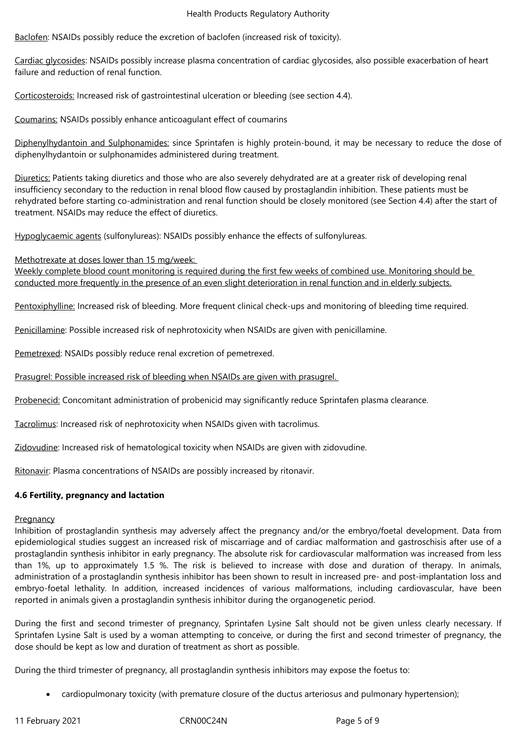Baclofen: NSAIDs possibly reduce the excretion of baclofen (increased risk of toxicity).

Cardiac glycosides: NSAIDs possibly increase plasma concentration of cardiac glycosides, also possible exacerbation of heart failure and reduction of renal function.

Corticosteroids: Increased risk of gastrointestinal ulceration or bleeding (see section 4.4).

Coumarins: NSAIDs possibly enhance anticoagulant effect of coumarins

Diphenylhydantoin and Sulphonamides: since Sprintafen is highly protein-bound, it may be necessary to reduce the dose of diphenylhydantoin or sulphonamides administered during treatment.

Diuretics: Patients taking diuretics and those who are also severely dehydrated are at a greater risk of developing renal insufficiency secondary to the reduction in renal blood flow caused by prostaglandin inhibition. These patients must be rehydrated before starting co-administration and renal function should be closely monitored (see Section 4.4) after the start of treatment. NSAIDs may reduce the effect of diuretics.

Hypoglycaemic agents (sulfonylureas): NSAIDs possibly enhance the effects of sulfonylureas.

Methotrexate at doses lower than 15 mg/week:

Weekly complete blood count monitoring is required during the first few weeks of combined use. Monitoring should be conducted more frequently in the presence of an even slight deterioration in renal function and in elderly subjects.

Pentoxiphylline: Increased risk of bleeding. More frequent clinical check-ups and monitoring of bleeding time required.

Penicillamine: Possible increased risk of nephrotoxicity when NSAIDs are given with penicillamine.

Pemetrexed: NSAIDs possibly reduce renal excretion of pemetrexed.

Prasugrel: Possible increased risk of bleeding when NSAIDs are given with prasugrel.

Probenecid: Concomitant administration of probenicid may significantly reduce Sprintafen plasma clearance.

Tacrolimus: Increased risk of nephrotoxicity when NSAIDs given with tacrolimus.

Zidovudine: Increased risk of hematological toxicity when NSAIDs are given with zidovudine.

Ritonavir: Plasma concentrations of NSAIDs are possibly increased by ritonavir.

## **4.6 Fertility, pregnancy and lactation**

## Pregnancy

Inhibition of prostaglandin synthesis may adversely affect the pregnancy and/or the embryo/foetal development. Data from epidemiological studies suggest an increased risk of miscarriage and of cardiac malformation and gastroschisis after use of a prostaglandin synthesis inhibitor in early pregnancy. The absolute risk for cardiovascular malformation was increased from less than 1%, up to approximately 1.5 %. The risk is believed to increase with dose and duration of therapy. In animals, administration of a prostaglandin synthesis inhibitor has been shown to result in increased pre- and post-implantation loss and embryo-foetal lethality. In addition, increased incidences of various malformations, including cardiovascular, have been reported in animals given a prostaglandin synthesis inhibitor during the organogenetic period.

During the first and second trimester of pregnancy, Sprintafen Lysine Salt should not be given unless clearly necessary. If Sprintafen Lysine Salt is used by a woman attempting to conceive, or during the first and second trimester of pregnancy, the dose should be kept as low and duration of treatment as short as possible.

During the third trimester of pregnancy, all prostaglandin synthesis inhibitors may expose the foetus to:

cardiopulmonary toxicity (with premature closure of the ductus arteriosus and pulmonary hypertension);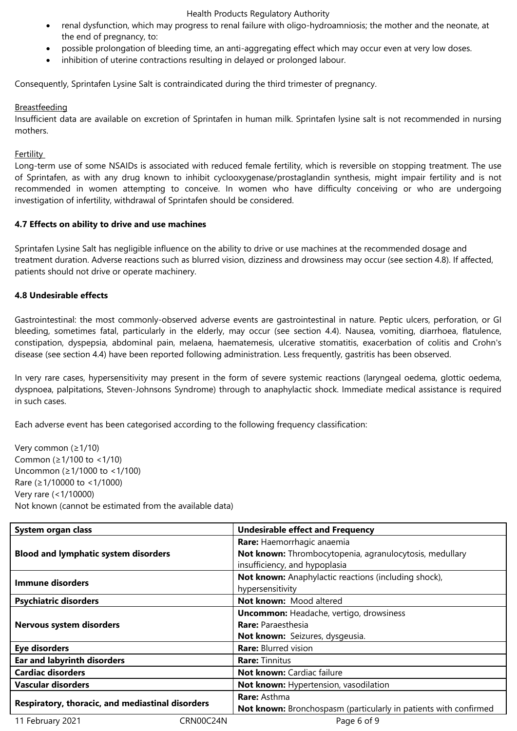- renal dysfunction, which may progress to renal failure with oligo-hydroamniosis; the mother and the neonate, at the end of pregnancy, to:
- possible prolongation of bleeding time, an anti-aggregating effect which may occur even at very low doses.
- inhibition of uterine contractions resulting in delayed or prolonged labour.

Consequently, Sprintafen Lysine Salt is contraindicated during the third trimester of pregnancy.

# **Breastfeeding**

Insufficient data are available on excretion of Sprintafen in human milk. Sprintafen lysine salt is not recommended in nursing mothers.

## **Fertility**

Long-term use of some NSAIDs is associated with reduced female fertility, which is reversible on stopping treatment. The use of Sprintafen, as with any drug known to inhibit cyclooxygenase/prostaglandin synthesis, might impair fertility and is not recommended in women attempting to conceive. In women who have difficulty conceiving or who are undergoing investigation of infertility, withdrawal of Sprintafen should be considered.

# **4.7 Effects on ability to drive and use machines**

Sprintafen Lysine Salt has negligible influence on the ability to drive or use machines at the recommended dosage and treatment duration. Adverse reactions such as blurred vision, dizziness and drowsiness may occur (see section 4.8). If affected, patients should not drive or operate machinery.

# **4.8 Undesirable effects**

Gastrointestinal: the most commonly-observed adverse events are gastrointestinal in nature. Peptic ulcers, perforation, or GI bleeding, sometimes fatal, particularly in the elderly, may occur (see section 4.4). Nausea, vomiting, diarrhoea, flatulence, constipation, dyspepsia, abdominal pain, melaena, haematemesis, ulcerative stomatitis, exacerbation of colitis and Crohn's disease (see section 4.4) have been reported following administration. Less frequently, gastritis has been observed.

In very rare cases, hypersensitivity may present in the form of severe systemic reactions (laryngeal oedema, glottic oedema, dyspnoea, palpitations, Steven-Johnsons Syndrome) through to anaphylactic shock. Immediate medical assistance is required in such cases.

Each adverse event has been categorised according to the following frequency classification:

Very common (≥1/10) Common (≥1/100 to <1/10) Uncommon (≥1/1000 to <1/100) Rare (≥1/10000 to <1/1000) Very rare (<1/10000) Not known (cannot be estimated from the available data)

| System organ class                               |           | <b>Undesirable effect and Frequency</b>                          |  |
|--------------------------------------------------|-----------|------------------------------------------------------------------|--|
| <b>Blood and lymphatic system disorders</b>      |           | Rare: Haemorrhagic anaemia                                       |  |
|                                                  |           | Not known: Thrombocytopenia, agranulocytosis, medullary          |  |
|                                                  |           | insufficiency, and hypoplasia                                    |  |
| Immune disorders                                 |           | Not known: Anaphylactic reactions (including shock),             |  |
|                                                  |           | hypersensitivity                                                 |  |
| <b>Psychiatric disorders</b>                     |           | Not known: Mood altered                                          |  |
|                                                  |           | <b>Uncommon:</b> Headache, vertigo, drowsiness                   |  |
| Nervous system disorders                         |           | <b>Rare: Paraesthesia</b>                                        |  |
|                                                  |           | Not known: Seizures, dysgeusia.                                  |  |
| <b>Eye disorders</b>                             |           | <b>Rare: Blurred vision</b>                                      |  |
| <b>Ear and labyrinth disorders</b>               |           | <b>Rare:</b> Tinnitus                                            |  |
| <b>Cardiac disorders</b>                         |           | <b>Not known: Cardiac failure</b>                                |  |
| <b>Vascular disorders</b>                        |           | Not known: Hypertension, vasodilation                            |  |
| Respiratory, thoracic, and mediastinal disorders |           | <b>Rare: Asthma</b>                                              |  |
|                                                  |           | Not known: Bronchospasm (particularly in patients with confirmed |  |
| 11 February 2021                                 | CRN00C24N | Page 6 of 9                                                      |  |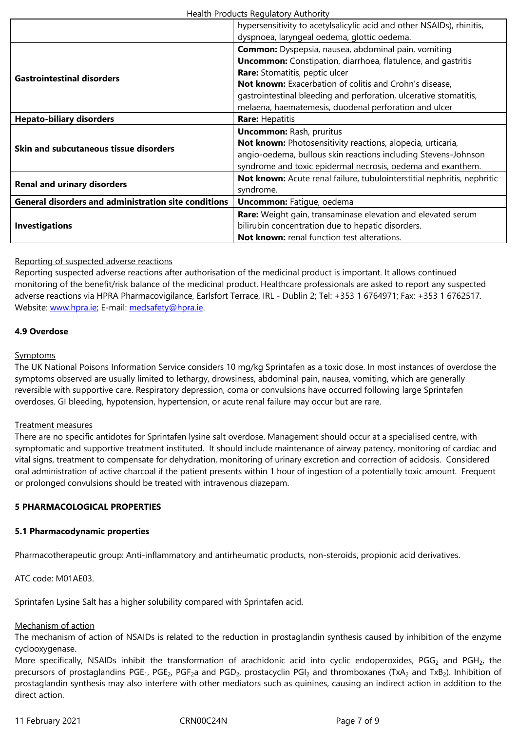| <b>Gastrointestinal disorders</b>                           | <b>Common:</b> Dyspepsia, nausea, abdominal pain, vomiting<br><b>Uncommon:</b> Constipation, diarrhoea, flatulence, and gastritis<br><b>Rare:</b> Stomatitis, peptic ulcer<br>Not known: Exacerbation of colitis and Crohn's disease, |  |
|-------------------------------------------------------------|---------------------------------------------------------------------------------------------------------------------------------------------------------------------------------------------------------------------------------------|--|
|                                                             | gastrointestinal bleeding and perforation, ulcerative stomatitis,<br>melaena, haematemesis, duodenal perforation and ulcer                                                                                                            |  |
| <b>Hepato-biliary disorders</b>                             | <b>Rare: Hepatitis</b>                                                                                                                                                                                                                |  |
|                                                             | <b>Uncommon: Rash, pruritus</b><br>Not known: Photosensitivity reactions, alopecia, urticaria,                                                                                                                                        |  |
| Skin and subcutaneous tissue disorders                      | angio-oedema, bullous skin reactions including Stevens-Johnson<br>syndrome and toxic epidermal necrosis, oedema and exanthem.                                                                                                         |  |
| <b>Renal and urinary disorders</b>                          | Not known: Acute renal failure, tubulointerstitial nephritis, nephritic<br>syndrome.                                                                                                                                                  |  |
| <b>General disorders and administration site conditions</b> | <b>Uncommon:</b> Fatigue, oedema                                                                                                                                                                                                      |  |
| <b>Investigations</b>                                       | Rare: Weight gain, transaminase elevation and elevated serum<br>bilirubin concentration due to hepatic disorders.<br>Not known: renal function test alterations.                                                                      |  |

# Reporting of suspected adverse reactions

Reporting suspected adverse reactions after authorisation of the medicinal product is important. It allows continued monitoring of the benefit/risk balance of the medicinal product. Healthcare professionals are asked to report any suspected adverse reactions via HPRA Pharmacovigilance, Earlsfort Terrace, IRL - Dublin 2; Tel: +353 1 6764971; Fax: +353 1 6762517. Website: www.hpra.ie; E-mail: medsafety@hpra.ie.

## **4.9 Overdose**

#### **Sympto[ms](http://www.hpra.ie/)**

The UK National Poisons Information Service considers 10 mg/kg Sprintafen as a toxic dose. In most instances of overdose the symptoms observed are usually limited to lethargy, drowsiness, abdominal pain, nausea, vomiting, which are generally reversible with supportive care. Respiratory depression, coma or convulsions have occurred following large Sprintafen overdoses. GI bleeding, hypotension, hypertension, or acute renal failure may occur but are rare.

## Treatment measures

There are no specific antidotes for Sprintafen lysine salt overdose. Management should occur at a specialised centre, with symptomatic and supportive treatment instituted. It should include maintenance of airway patency, monitoring of cardiac and vital signs, treatment to compensate for dehydration, monitoring of urinary excretion and correction of acidosis. Considered oral administration of active charcoal if the patient presents within 1 hour of ingestion of a potentially toxic amount. Frequent or prolonged convulsions should be treated with intravenous diazepam.

## **5 PHARMACOLOGICAL PROPERTIES**

## **5.1 Pharmacodynamic properties**

Pharmacotherapeutic group: Anti-inflammatory and antirheumatic products, non-steroids, propionic acid derivatives.

ATC code: M01AE03.

Sprintafen Lysine Salt has a higher solubility compared with Sprintafen acid.

## Mechanism of action

The mechanism of action of NSAIDs is related to the reduction in prostaglandin synthesis caused by inhibition of the enzyme cyclooxygenase.

More specifically, NSAIDs inhibit the transformation of arachidonic acid into cyclic endoperoxides, PGG<sub>2</sub> and PGH<sub>2</sub>, the precursors of prostaglandins PGE<sub>1</sub>, PGE<sub>2</sub>, PGF<sub>2</sub>a and PGD<sub>2</sub>, prostacyclin PGI<sub>2</sub> and thromboxanes (TxA<sub>2</sub> and TxB<sub>2</sub>). Inhibition of prostaglandin synthesis may also interfere with other mediators such as quinines, causing an indirect action in addition to the direct action.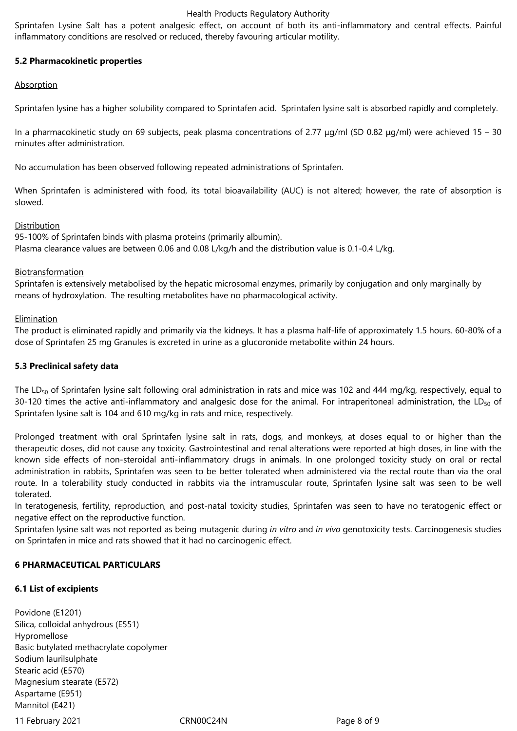Sprintafen Lysine Salt has a potent analgesic effect, on account of both its anti-inflammatory and central effects. Painful inflammatory conditions are resolved or reduced, thereby favouring articular motility.

# **5.2 Pharmacokinetic properties**

## Absorption

Sprintafen lysine has a higher solubility compared to Sprintafen acid. Sprintafen lysine salt is absorbed rapidly and completely.

In a pharmacokinetic study on 69 subjects, peak plasma concentrations of 2.77 μg/ml (SD 0.82 μg/ml) were achieved 15 – 30 minutes after administration.

No accumulation has been observed following repeated administrations of Sprintafen.

When Sprintafen is administered with food, its total bioavailability (AUC) is not altered; however, the rate of absorption is slowed.

## Distribution

95-100% of Sprintafen binds with plasma proteins (primarily albumin). Plasma clearance values are between 0.06 and 0.08 L/kg/h and the distribution value is 0.1-0.4 L/kg.

# Biotransformation

Sprintafen is extensively metabolised by the hepatic microsomal enzymes, primarily by conjugation and only marginally by means of hydroxylation. The resulting metabolites have no pharmacological activity.

## Elimination

The product is eliminated rapidly and primarily via the kidneys. It has a plasma half-life of approximately 1.5 hours. 60-80% of a dose of Sprintafen 25 mg Granules is excreted in urine as a glucoronide metabolite within 24 hours.

## **5.3 Preclinical safety data**

The LD<sub>50</sub> of Sprintafen lysine salt following oral administration in rats and mice was 102 and 444 mg/kg, respectively, equal to 30-120 times the active anti-inflammatory and analgesic dose for the animal. For intraperitoneal administration, the LD $_{50}$  of Sprintafen lysine salt is 104 and 610 mg/kg in rats and mice, respectively.

Prolonged treatment with oral Sprintafen lysine salt in rats, dogs, and monkeys, at doses equal to or higher than the therapeutic doses, did not cause any toxicity. Gastrointestinal and renal alterations were reported at high doses, in line with the known side effects of non-steroidal anti-inflammatory drugs in animals. In one prolonged toxicity study on oral or rectal administration in rabbits, Sprintafen was seen to be better tolerated when administered via the rectal route than via the oral route. In a tolerability study conducted in rabbits via the intramuscular route, Sprintafen lysine salt was seen to be well tolerated.

In teratogenesis, fertility, reproduction, and post-natal toxicity studies, Sprintafen was seen to have no teratogenic effect or negative effect on the reproductive function.

Sprintafen lysine salt was not reported as being mutagenic during *in vitro* and *in vivo* genotoxicity tests. Carcinogenesis studies on Sprintafen in mice and rats showed that it had no carcinogenic effect.

## **6 PHARMACEUTICAL PARTICULARS**

## **6.1 List of excipients**

Povidone (E1201) Silica, colloidal anhydrous (E551) Hypromellose Basic butylated methacrylate copolymer Sodium laurilsulphate Stearic acid (E570) Magnesium stearate (E572) Aspartame (E951) Mannitol (E421)

11 February 2021 CRN00C24N Page 8 of 9